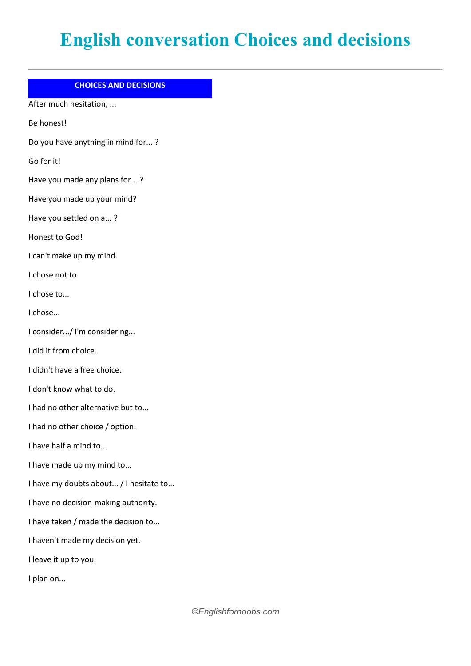## **English conversation Choices and decisions**

## **CHOICES AND DECISIONS**

After much hesitation, ...

Be honest!

Do you have anything in mind for... ?

Go for it!

Have you made any plans for... ?

Have you made up your mind?

Have you settled on a... ?

Honest to God!

I can't make up my mind.

I chose not to

I chose to...

I chose...

I consider.../ I'm considering...

I did it from choice.

I didn't have a free choice.

I don't know what to do.

I had no other alternative but to...

I had no other choice / option.

I have half a mind to...

I have made up my mind to...

I have my doubts about... / I hesitate to...

I have no decision-making authority.

I have taken / made the decision to...

I haven't made my decision yet.

I leave it up to you.

I plan on...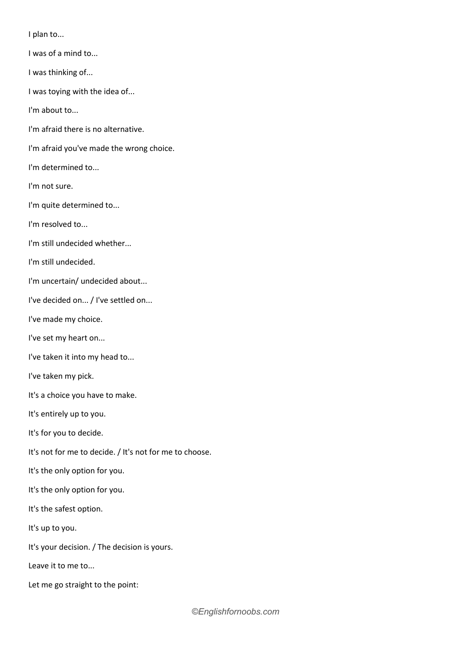I plan to...

- I was of a mind to...
- I was thinking of...
- I was toying with the idea of...

I'm about to...

- I'm afraid there is no alternative.
- I'm afraid you've made the wrong choice.
- I'm determined to...
- I'm not sure.
- I'm quite determined to...
- I'm resolved to...
- I'm still undecided whether...
- I'm still undecided.
- I'm uncertain/ undecided about...
- I've decided on... / I've settled on...
- I've made my choice.
- I've set my heart on...
- I've taken it into my head to...
- I've taken my pick.
- It's a choice you have to make.
- It's entirely up to you.
- It's for you to decide.
- It's not for me to decide. / It's not for me to choose.
- It's the only option for you.
- It's the only option for you.
- It's the safest option.
- It's up to you.
- It's your decision. / The decision is yours.
- Leave it to me to...
- Let me go straight to the point: